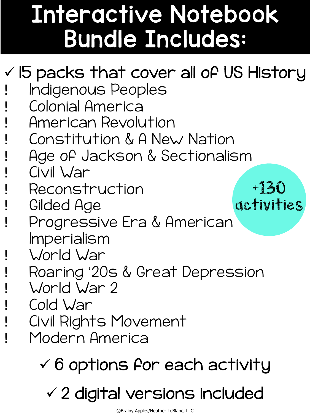### **Interactive Notebook Bundle Includes:**

### $\checkmark$  15 packs that cover all of US History • Indigenous Peoples • Colonial America • American Revolution • Constitution & A New Nation • Age of Jackson & Sectionalism • Civil War • Reconstruction Gilded Age • Progressive Era & American Imperialism • World War • Roaring '20s & Great Depression World War 2 Cold War • Civil Rights Movement Modern America +130 activities

 $\checkmark$  6 options for each activity

 $\checkmark$  2 digital versions included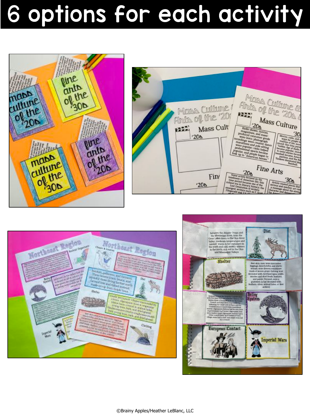## 6 options for each activity







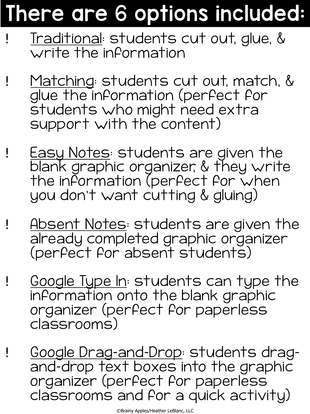### There are 6 options included:

- ! Traditional: students cut out, glue, & write the information
- Matching: students cut out, match, & glue the information (perfect for students who might need extra support with the content)
- ! Easy Notes: students are given the blank graphic organizer, & they write the information (perfect for when you don't want cutting & gluing)
- Absent Notes: students are given the already completed graphic organizer (perfect for absent students)
- ! <u>Google Type In</u>: students can type the information onto the blank graphic organizer (perfect for paperless classrooms)
- ! Google Drag-and-Drop: students dragand-drop text boxes into the graphic organizer (perfect for paperless classrooms and for a quick activity)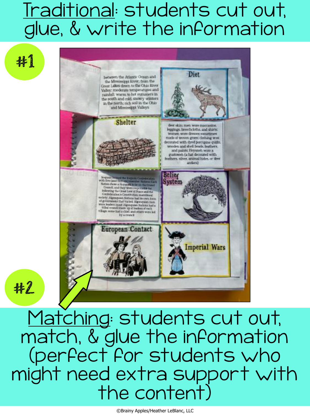### Traditional: students cut out, glue, & write the information

#1

#2



Matching: students cut out, match, & glue the information (perfect for students who might need extra support with the content)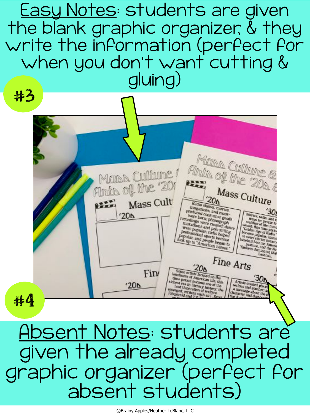Easy Notes: students are given the blank graphic organizer, & they write the information (perfect for when you don't want cutting & gluing) #3

Mass Culture & Finde Culture & Mass Culture! Anto of the 20 Mass Culture  $\frac{20}{6}$ Mass Cult E Radio shows movies, name shows movies, magazines, and mass.<br>
Were born; phonography<br>
Were born; phonography<br>
andings un: phonography 30 Movies, radio, and a<br>teams for people is<br>teaming of life: movie<br>ound: this time foreign were born; phonograph<br>were born; phonograph<br>udings were created during  $'20<sub>b</sub>$ were born: plannor goods<br>naradigs were crossgraph<br>naradions and polo situate<br>were popular: radio holing<br>profossional special holing<br>portal strate holing sound: this time period because popular into the first of Radio and Radio and the results. were popular: radio holped<br>Workessional Pole sitting<br>Pular, and sports holped were popular, radio helped<br>pular, and sports become<br>ok up to - and people become<br>ok up to - and people become redden Ago of Retria<br>
to news Popular: inch<br>
to news Strike Secure<br>
haseball became America<br>
Pastime, and the National<br>
Fankres deminated its<br>
fankres deminated its<br> professional radio helped<br>popular, and sports become<br>hock up to "American hemes," Fankees deminated May Fine Arts  $20<sub>0</sub>$ Some artists factored on the<br>time period of American life: this<br>time period became one of this<br>thest era in incame one of the<br>Lost Goneration of history; the Fin/  $30<sub>0</sub>$ time period because hits this<br>richard because one of the<br>fourth of Gaussian in the second control of the<br>emerged: writing such as Figure 1.<br>Fitzgaraid and 7.6 uch as F. Scott Artists created pieces  $'20<sub>b</sub>$ expect writers of writers<br>Fitzgerald and Ts such as F. S. a mossage about the strategy and seminarity #4

Absent Notes: students are given the already completed graphic organizer (perfect for absent students)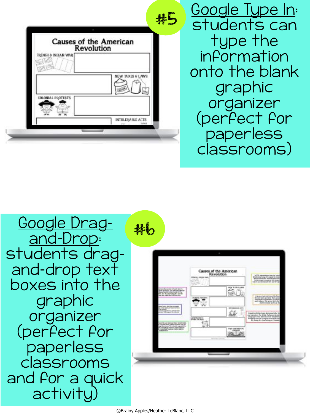|                     | Causes of the American            |
|---------------------|-----------------------------------|
|                     | Revolution                        |
| FRENCH & INDIAN WAR |                                   |
|                     |                                   |
|                     |                                   |
|                     | NEW TAXES & LAWS                  |
|                     |                                   |
|                     |                                   |
| COLONIAL PROTESTS   |                                   |
|                     |                                   |
|                     |                                   |
|                     | INTOLERABLE ACTS<br><b>Lucian</b> |

Google Type In: students can type the information onto the blank graphic organizer (perfect for paperless classrooms)

Google Dragand-Drop: students dragand-drop text boxes into the graphic organizer (perfect for paperless classrooms and for a quick activity)

|                                                                                                                                                    | FRANCHIS GROUND AND                    | Causes of the American<br>Revolution |                                                                                                                                                 | & T/N squareston from the release<br><b>British Aving Terring PRYs classed the incident</b><br>Annual says and spouse                             |
|----------------------------------------------------------------------------------------------------------------------------------------------------|----------------------------------------|--------------------------------------|-------------------------------------------------------------------------------------------------------------------------------------------------|---------------------------------------------------------------------------------------------------------------------------------------------------|
| and a notice of land innot<br>Bud receivers. The lost fockchd the<br><b>Blairie Technike Committeed ATT That</b><br>the Art Burderwick Art and the |                                        | <b>BUN AVELY UNIT</b>                |                                                                                                                                                 |                                                                                                                                                   |
| bloom County's ADM The time shakes<br>to 47 S. Walk president services<br><b>Services</b><br><b>BERGERIN INBIR</b>                                 | <b>MILL THIT</b>                       | <b><i>BRILDADEL BYS</i></b>          |                                                                                                                                                 | A gregorization insurable from<br>Galaciaciani and garments (critica sec-<br>sent index) . This priced bulleting<br>protectionalist \$1,000.00 In |
| <b>BORTH REAL SIZE WAS AND REAL ART FORM</b><br>a lidestickovi sprice intear top (d)<br><b>Cash Line of Bar</b>                                    | Literaryng, June 11<br>APERE SIX MUSIC |                                      | Inselate official lines during exhibit by<br>a largificari of the skills taun bury benefitted.<br><b>Rought Evansion Company of a family of</b> |                                                                                                                                                   |
| Independence                                                                                                                                       |                                        | FIRST GOVTABILITY<br><b>CONSUM</b>   |                                                                                                                                                 |                                                                                                                                                   |
|                                                                                                                                                    |                                        |                                      |                                                                                                                                                 |                                                                                                                                                   |

#6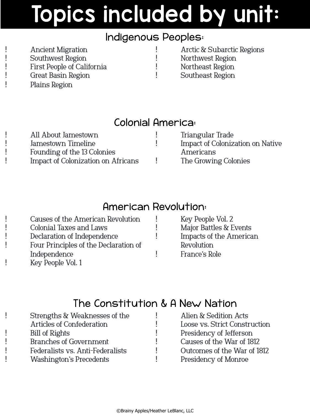#### Indigenous Peoples:

• Ancient Migration Southwest Region • First People of California Great Basin Region • Plains Region

• Arctic & Subarctic Regions e Morthwest Region<br>• Northeast Region • Northeast Region • Southeast Region

#### Colonial America:

| All About Jamestown                | Triangular Trade                        |
|------------------------------------|-----------------------------------------|
| Jamestown Timeline                 | <b>Impact of Colonization on Native</b> |
| Founding of the 13 Colonies        | Americans                               |
| Impact of Colonization on Africans | The Growing Colonies                    |

#### American Revolution:

| Major Battles & Events         |
|--------------------------------|
|                                |
| <b>Impacts of the American</b> |
|                                |
|                                |
|                                |
|                                |

#### The Constitution & A New Nation

| Strengths & Weaknesses of the    | Alien & Sedition Acts         |
|----------------------------------|-------------------------------|
| <b>Articles of Confederation</b> | Loose vs. Strict Construction |
| <b>Bill of Rights</b>            | Presidency of Jefferson       |
| <b>Branches of Government</b>    | Causes of the War of 1812     |
| Federalists vs. Anti-Federalists | Outcomes of the War of 1812   |
| <b>Washington's Precedents</b>   | Presidency of Monroe          |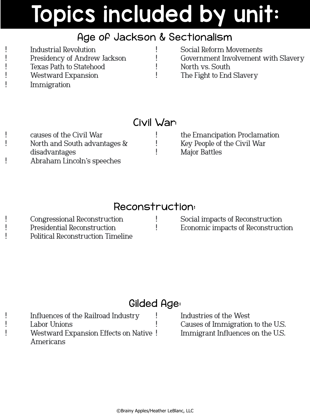#### Age of Jackson & Sectionalism

| Industrial Revolution          | Social Reform Movements             |
|--------------------------------|-------------------------------------|
| Presidency of Andrew Jackson   | Government Involvement with Slavery |
| <b>Texas Path to Statehood</b> | North vs. South                     |
| <b>Westward Expansion</b>      | The Fight to End Slavery            |
| Immigration                    |                                     |

#### Civil War:

• causes of the Civil War • North and South advantages & disadvantages • Abraham Lincoln's speeches

• the Emancipation Proclamation • Key People of the Civil War • Major Battles

#### Reconstruction:

• Congressional Reconstruction • Presidential Reconstruction • Political Reconstruction Timeline

• Social impacts of Reconstruction • Economic impacts of Reconstruction

#### Gilded Age:

• Influences of the Railroad Industry Labor Unions Westward Expansion Effects on Native ! Americans

Industries of the West • Causes of Immigration to the U.S. Immigrant Influences on the U.S.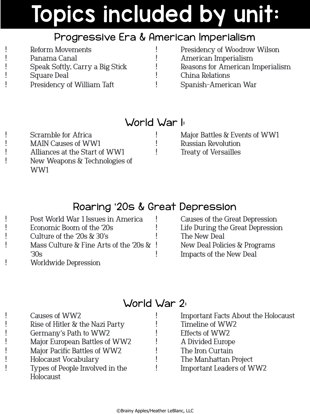#### Progressive Era & American Imperialism

| <b>Reform Movements</b>         | Presidency of Woodrow Wilson     |
|---------------------------------|----------------------------------|
| Panama Canal                    | American Imperialism             |
| Speak Softly, Carry a Big Stick | Reasons for American Imperialism |
| <b>Square Deal</b>              | China Relations                  |
| Presidency of William Taft      | Spanish-American War             |

#### World War 1:

Scramble for Africa • MAIN Causes of WW1 • Alliances at the Start of WW1 • New Weapons & Technologies of WW1

• Major Battles & Events of WW1 • Russian Revolution • Treaty of Versailles

#### Roaring '20s & Great Depression

| Post World War 1 Issues in America             |  |
|------------------------------------------------|--|
| Economic Boom of the 20s                       |  |
| Culture of the '20s & 30's                     |  |
| Mass Culture $\&$ Fine Arts of the '20s $\&$ ! |  |
| 30s                                            |  |
| <b>Worldwide Depression</b>                    |  |
|                                                |  |

#### • Causes of the Great Depression Life During the Great Depression The New Deal • New Deal Policies & Programs • Impacts of the New Deal

#### World War 2:

| Causes of WW2                   | Important Facts About the Holocaust |
|---------------------------------|-------------------------------------|
| Rise of Hitler & the Nazi Party | Timeline of WW2                     |
| Germany's Path to WW2           | Effects of WW2                      |
| Major European Battles of WW2   | A Divided Europe                    |
| Major Pacific Battles of WW2    | The Iron Curtain                    |
| <b>Holocaust Vocabulary</b>     | The Manhattan Project               |
| Types of People Involved in the | <b>Important Leaders of WW2</b>     |
| Holocaust                       |                                     |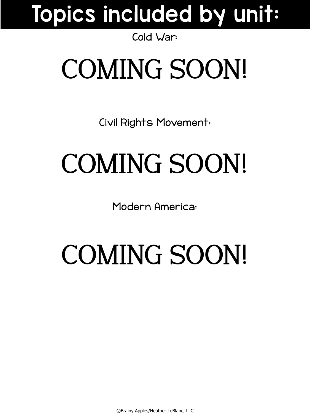#### Cold War:

# COMING SOON!

Civil Rights Movement:

# COMING SOON!

Modern America:

# COMING SOON!

©Brainy Apples/Heather LeBlanc, LLC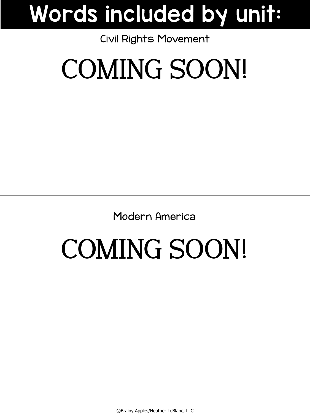## Words included by unit:

#### Civil Rights Movement

# COMING SOON!

Modern America

# COMING SOON!

©Brainy Apples/Heather LeBlanc, LLC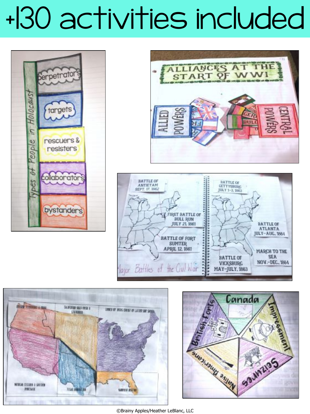# +130 activities included











©Brainy Apples/Heather LeBlanc, LLC